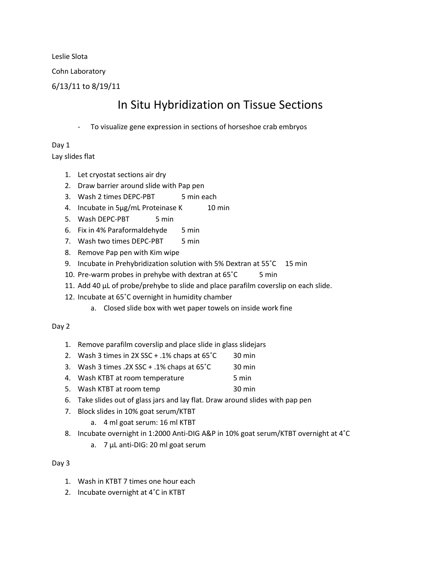Leslie Slota

Cohn Laboratory

6/13/11 to 8/19/11

## In Situ Hybridization on Tissue Sections

To visualize gene expression in sections of horseshoe crab embryos

Day 1 Lay slides flat

- 1. Let cryostat sections air dry
- 2. Draw barrier around slide with Pap pen
- 3. Wash 2 times DEPC-PBT 5 min each
- 4. Incubate in 5ug/mL Proteinase K 10 min
- 5. Wash DEPC-PBT 5 min
- 6. Fix in 4% Paraformaldehyde 5 min
- 7. Wash two times DEPC-PBT 5 min
- 8. Remove Pap pen with Kim wipe
- 9. Incubate in Prehybridization solution with 5% Dextran at 55°C 15 min
- 10. Pre-warm probes in prehybe with dextran at 65°C 5 min
- 11. Add 40 µL of probe/prehybe to slide and place parafilm coverslip on each slide.
- 12. Incubate at 65˚C overnight in humidity chamber
	- a. Closed slide box with wet paper towels on inside work fine

## Day 2

- 1. Remove parafilm coverslip and place slide in glass slidejars
- 2. Wash 3 times in 2X SSC + .1% chaps at 65˚C 30 min
- 3. Wash 3 times  $.2X$  SSC +  $.1\%$  chaps at  $65^{\circ}$ C 30 min
- 4. Wash KTBT at room temperature 5 min
- 5. Wash KTBT at room temp 30 min
- 6. Take slides out of glass jars and lay flat. Draw around slides with pap pen
- 7. Block slides in 10% goat serum/KTBT
	- a. 4 ml goat serum: 16 ml KTBT
- 8. Incubate overnight in 1:2000 Anti-DIG A&P in 10% goat serum/KTBT overnight at 4˚C
	- a. 7 µL anti-DIG: 20 ml goat serum

## Day 3

- 1. Wash in KTBT 7 times one hour each
- 2. Incubate overnight at 4˚C in KTBT